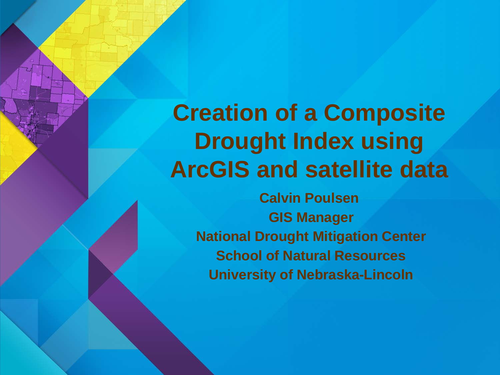# **Creation of a Composite Drought Index using ArcGIS and satellite data**

**Calvin Poulsen GIS Manager National Drought Mitigation Center School of Natural Resources University of Nebraska-Lincoln**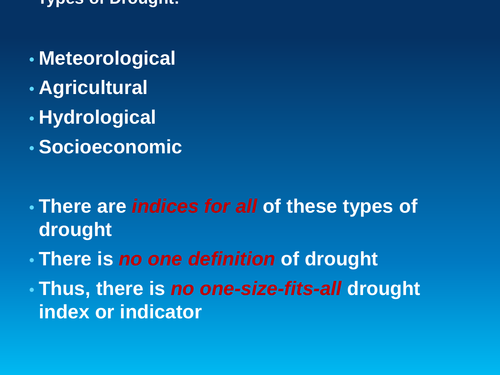**Types of Drought:**

- **Meteorological**
- **Agricultural**
- **Hydrological**
- **Socioeconomic**

- **There are** *indices for all* **of these types of drought**
- **There is** *no one definition* **of drought**
- **Thus, there is** *no one-size-fits-all* **drought index or indicator**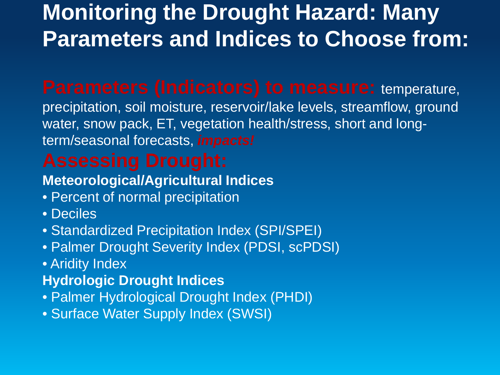# **Monitoring the Drought Hazard: Many Parameters and Indices to Choose from:**

## **Parameters (Indicators) to measure:** temperature,

precipitation, soil moisture, reservoir/lake levels, streamflow, ground water, snow pack, ET, vegetation health/stress, short and longterm/seasonal forecasts, *impacts!*

#### **Meteorological/Agricultural Indices**

- Percent of normal precipitation
- Deciles
- Standardized Precipitation Index (SPI/SPEI)
- Palmer Drought Severity Index (PDSI, scPDSI)
- Aridity Index

#### **Hydrologic Drought Indices**

- Palmer Hydrological Drought Index (PHDI)
- Surface Water Supply Index (SWSI)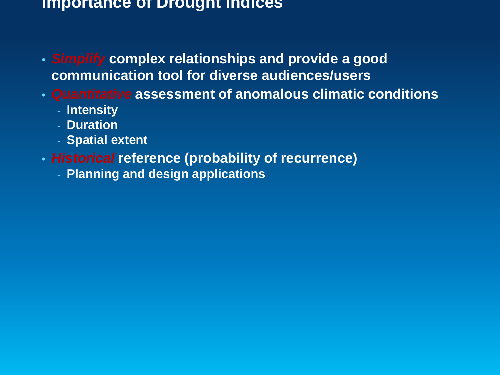#### **Importance of Drought Indices**

- *Simplify* **complex relationships and provide a good communication tool for diverse audiences/users**
- *Quantitative* **assessment of anomalous climatic conditions**
	- **Intensity**
	- **Duration**
	- **Spatial extent**
- *Historical* **reference (probability of recurrence)**
	- **Planning and design applications**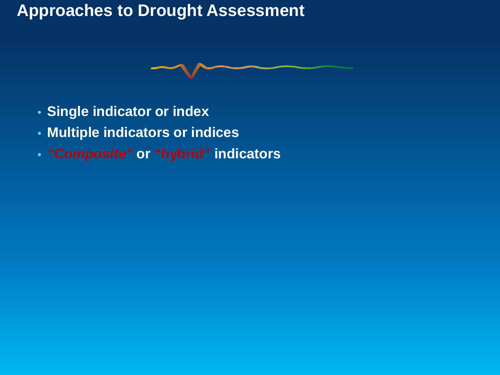**Approaches to Drought Assessment**



- **Single indicator or index**
- **Multiple indicators or indices**
- *"Composite"* **or "hybrid" indicators**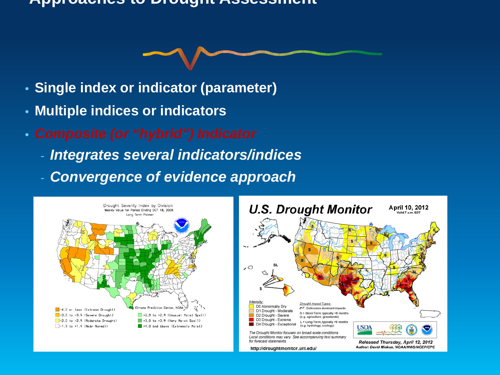#### **Approaches to Drought Assessment**

- **Single index or indicator (parameter)**
- **Multiple indices or indicators**
- *Composite (or "hybrid") Indicator*
	- *Integrates several indicators/indices*
	- *Convergence of evidence approach*

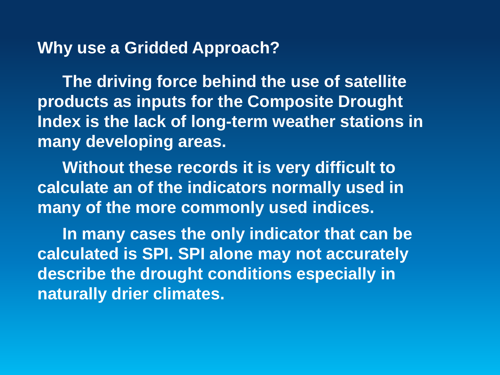#### **Why use a Gridded Approach?**

**The driving force behind the use of satellite products as inputs for the Composite Drought Index is the lack of long-term weather stations in many developing areas.**

**Without these records it is very difficult to calculate an of the indicators normally used in many of the more commonly used indices.**

**In many cases the only indicator that can be calculated is SPI. SPI alone may not accurately describe the drought conditions especially in naturally drier climates.**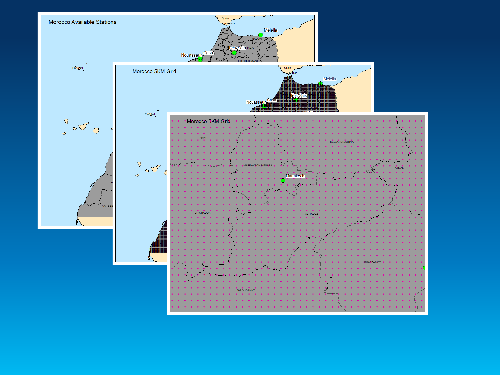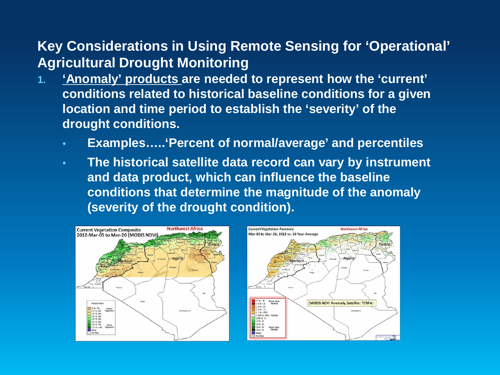#### **Key Considerations in Using Remote Sensing for 'Operational' Agricultural Drought Monitoring**

- **1. 'Anomaly' products are needed to represent how the 'current' conditions related to historical baseline conditions for a given location and time period to establish the 'severity' of the drought conditions.**
	- **Examples…..'Percent of normal/average' and percentiles**
	- **The historical satellite data record can vary by instrument and data product, which can influence the baseline conditions that determine the magnitude of the anomaly (severity of the drought condition).**



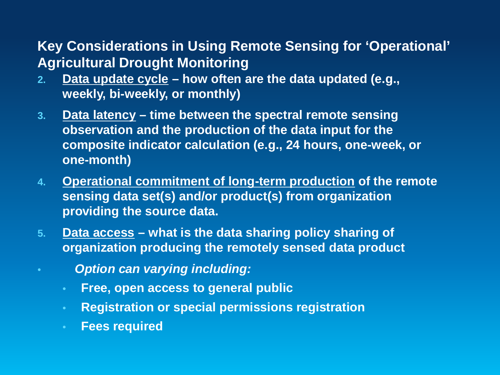#### **Key Considerations in Using Remote Sensing for 'Operational' Agricultural Drought Monitoring**

- **2. Data update cycle – how often are the data updated (e.g., weekly, bi-weekly, or monthly)**
- **3. Data latency – time between the spectral remote sensing observation and the production of the data input for the composite indicator calculation (e.g., 24 hours, one-week, or one-month)**
- **4. Operational commitment of long-term production of the remote sensing data set(s) and/or product(s) from organization providing the source data.**
- **5. Data access – what is the data sharing policy sharing of organization producing the remotely sensed data product**
- *Option can varying including:* 
	- **Free, open access to general public**
	- **Registration or special permissions registration**
	- **Fees required**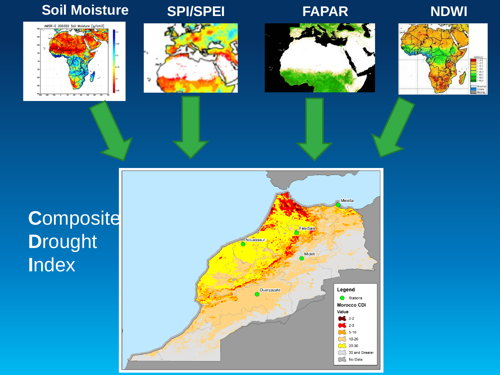#### **Soil Moisture SPI/SPEI FAPAR NDWI**





v







# **C**omposite **D**rought **I**ndex

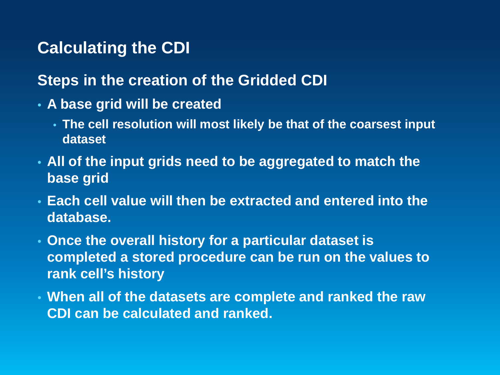#### **Calculating the CDI**

#### **Steps in the creation of the Gridded CDI**

- **A base grid will be created**
	- **The cell resolution will most likely be that of the coarsest input dataset**
- **All of the input grids need to be aggregated to match the base grid**
- **Each cell value will then be extracted and entered into the database.**
- **Once the overall history for a particular dataset is completed a stored procedure can be run on the values to rank cell's history**
- **When all of the datasets are complete and ranked the raw CDI can be calculated and ranked.**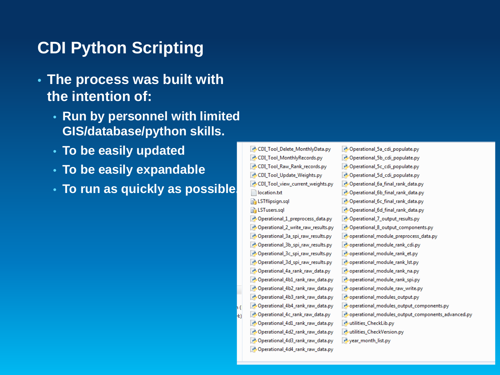### **CDI Python Scripting**

- **The process was built with the intention of:**
	- **Run by personnel with limited GIS/database/python skills.**
	- **To be easily updated**
	- **To be easily expandable**
	- **To run as quickly as possible.**

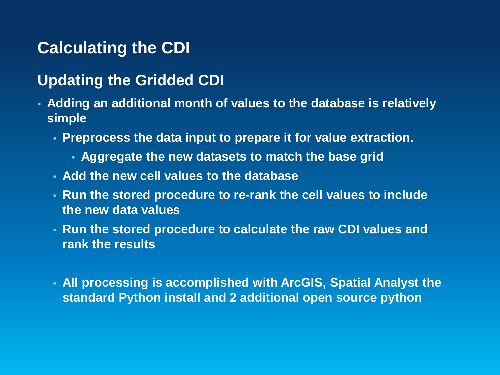#### **Calculating the CDI**

#### **Updating the Gridded CDI**

- **Adding an additional month of values to the database is relatively simple**
	- **Preprocess the data input to prepare it for value extraction.**
		- **Aggregate the new datasets to match the base grid**
	- **Add the new cell values to the database**
	- **Run the stored procedure to re-rank the cell values to include the new data values**
	- **Run the stored procedure to calculate the raw CDI values and rank the results**
	- **All processing is accomplished with ArcGIS, Spatial Analyst the standard Python install and 2 additional open source python**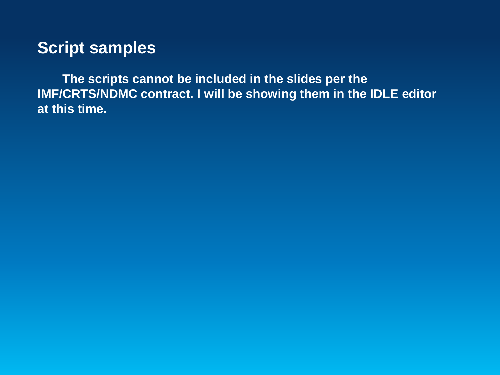#### **Script samples**

**The scripts cannot be included in the slides per the IMF/CRTS/NDMC contract. I will be showing them in the IDLE editor at this time.**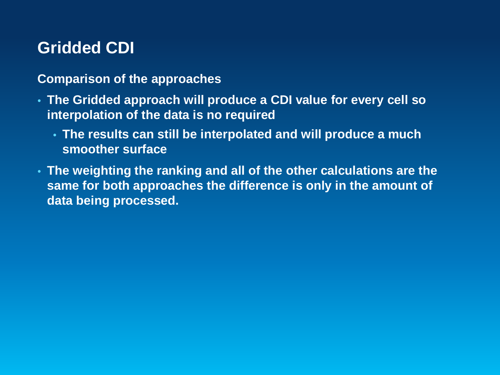#### **Comparison of the approaches**

- **The Gridded approach will produce a CDI value for every cell so interpolation of the data is no required**
	- **The results can still be interpolated and will produce a much smoother surface**
- **The weighting the ranking and all of the other calculations are the same for both approaches the difference is only in the amount of data being processed.**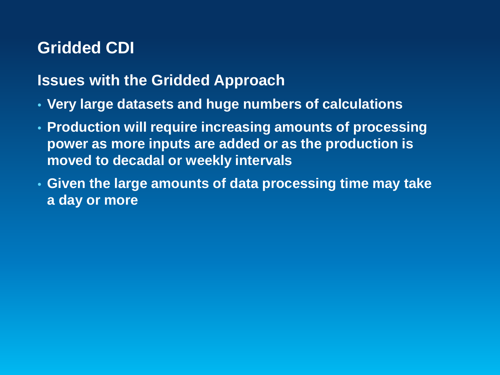**Issues with the Gridded Approach**

- **Very large datasets and huge numbers of calculations**
- **Production will require increasing amounts of processing power as more inputs are added or as the production is moved to decadal or weekly intervals**
- **Given the large amounts of data processing time may take a day or more**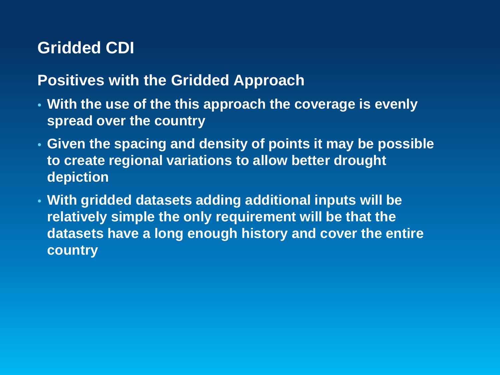#### **Positives with the Gridded Approach**

- **With the use of the this approach the coverage is evenly spread over the country**
- **Given the spacing and density of points it may be possible to create regional variations to allow better drought depiction**
- **With gridded datasets adding additional inputs will be relatively simple the only requirement will be that the datasets have a long enough history and cover the entire country**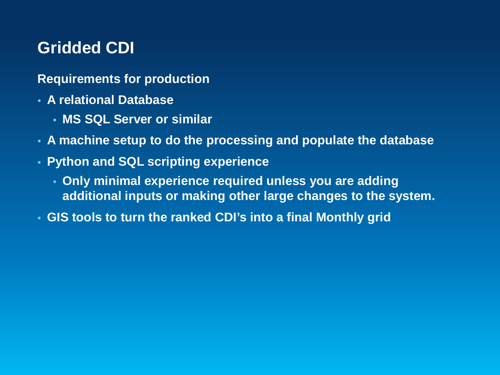#### **Requirements for production**

- **A relational Database**
	- **MS SQL Server or similar**
- **A machine setup to do the processing and populate the database**
- **Python and SQL scripting experience**
	- **Only minimal experience required unless you are adding additional inputs or making other large changes to the system.**
- **GIS tools to turn the ranked CDI's into a final Monthly grid**